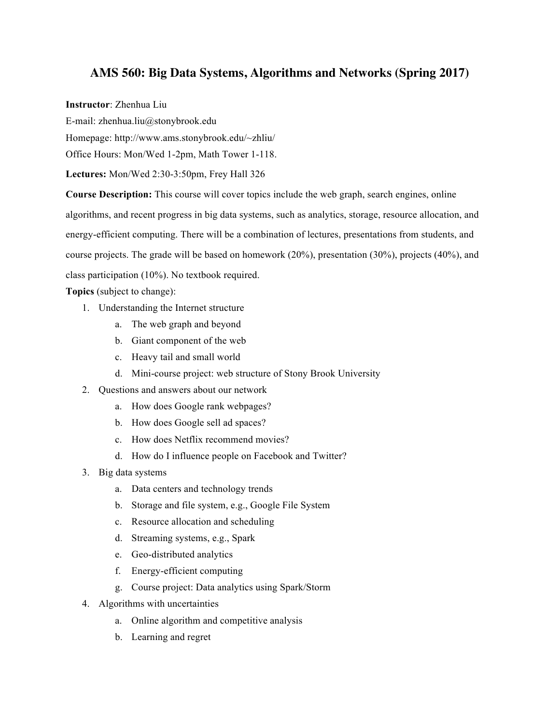## **AMS 560: Big Data Systems, Algorithms and Networks (Spring 2017)**

**Instructor**: Zhenhua Liu

E-mail: zhenhua.liu@stonybrook.edu

Homepage: http://www.ams.stonybrook.edu/~zhliu/

Office Hours: Mon/Wed 1-2pm, Math Tower 1-118.

**Lectures:** Mon/Wed 2:30-3:50pm, Frey Hall 326

**Course Description:** This course will cover topics include the web graph, search engines, online algorithms, and recent progress in big data systems, such as analytics, storage, resource allocation, and energy-efficient computing. There will be a combination of lectures, presentations from students, and course projects. The grade will be based on homework (20%), presentation (30%), projects (40%), and class participation (10%). No textbook required.

**Topics** (subject to change):

- 1. Understanding the Internet structure
	- a. The web graph and beyond
	- b. Giant component of the web
	- c. Heavy tail and small world
	- d. Mini-course project: web structure of Stony Brook University
- 2. Questions and answers about our network
	- a. How does Google rank webpages?
	- b. How does Google sell ad spaces?
	- c. How does Netflix recommend movies?
	- d. How do I influence people on Facebook and Twitter?
- 3. Big data systems
	- a. Data centers and technology trends
	- b. Storage and file system, e.g., Google File System
	- c. Resource allocation and scheduling
	- d. Streaming systems, e.g., Spark
	- e. Geo-distributed analytics
	- f. Energy-efficient computing
	- g. Course project: Data analytics using Spark/Storm
- 4. Algorithms with uncertainties
	- a. Online algorithm and competitive analysis
	- b. Learning and regret